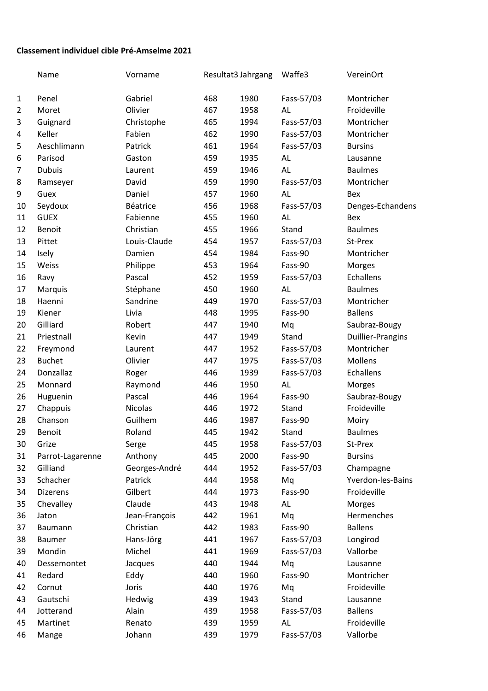## **Classement individuel cible Pré-Amselme 2021**

|                | Name             | Vorname       | Resultat3 Jahrgang |      | Waffe3     | VereinOrt                |
|----------------|------------------|---------------|--------------------|------|------------|--------------------------|
| $\mathbf{1}$   | Penel            | Gabriel       | 468                | 1980 | Fass-57/03 | Montricher               |
| $\overline{2}$ | Moret            | Olivier       | 467                | 1958 | AL         | Froideville              |
| 3              | Guignard         | Christophe    | 465                | 1994 | Fass-57/03 | Montricher               |
| 4              | Keller           | Fabien        | 462                | 1990 | Fass-57/03 | Montricher               |
| 5              | Aeschlimann      | Patrick       | 461                | 1964 | Fass-57/03 | <b>Bursins</b>           |
| 6              | Parisod          | Gaston        | 459                | 1935 | AL         | Lausanne                 |
| 7              | <b>Dubuis</b>    | Laurent       | 459                | 1946 | AL         | <b>Baulmes</b>           |
| 8              | Ramseyer         | David         | 459                | 1990 | Fass-57/03 | Montricher               |
| 9              | Guex             | Daniel        | 457                | 1960 | AL         | Bex                      |
| 10             | Seydoux          | Béatrice      | 456                | 1968 | Fass-57/03 | Denges-Echandens         |
| 11             | <b>GUEX</b>      | Fabienne      | 455                | 1960 | AL         | Bex                      |
| 12             | Benoit           | Christian     | 455                | 1966 | Stand      | <b>Baulmes</b>           |
| 13             | Pittet           | Louis-Claude  | 454                | 1957 | Fass-57/03 | St-Prex                  |
| 14             | Isely            | Damien        | 454                | 1984 | Fass-90    | Montricher               |
| 15             | Weiss            | Philippe      | 453                | 1964 | Fass-90    | Morges                   |
| 16             | Ravy             | Pascal        | 452                | 1959 | Fass-57/03 | Echallens                |
| 17             | Marquis          | Stéphane      | 450                | 1960 | AL         | <b>Baulmes</b>           |
| 18             | Haenni           | Sandrine      | 449                | 1970 | Fass-57/03 | Montricher               |
| 19             | Kiener           | Livia         | 448                | 1995 | Fass-90    | <b>Ballens</b>           |
| 20             | Gilliard         | Robert        | 447                | 1940 | Mq         | Saubraz-Bougy            |
| 21             | Priestnall       | Kevin         | 447                | 1949 | Stand      | <b>Duillier-Prangins</b> |
| 22             | Freymond         | Laurent       | 447                | 1952 | Fass-57/03 | Montricher               |
| 23             | <b>Buchet</b>    | Olivier       | 447                | 1975 | Fass-57/03 | Mollens                  |
| 24             | Donzallaz        | Roger         | 446                | 1939 | Fass-57/03 | Echallens                |
| 25             | Monnard          | Raymond       | 446                | 1950 | AL         | Morges                   |
| 26             | Huguenin         | Pascal        | 446                | 1964 | Fass-90    | Saubraz-Bougy            |
| 27             | Chappuis         | Nicolas       | 446                | 1972 | Stand      | Froideville              |
| 28             | Chanson          | Guilhem       | 446                | 1987 | Fass-90    | Moiry                    |
| 29             | Benoit           | Roland        | 445                | 1942 | Stand      | <b>Baulmes</b>           |
| 30             | Grize            | Serge         | 445                | 1958 | Fass-57/03 | St-Prex                  |
| 31             | Parrot-Lagarenne | Anthony       | 445                | 2000 | Fass-90    | <b>Bursins</b>           |
| 32             | Gilliand         | Georges-André | 444                | 1952 | Fass-57/03 | Champagne                |
| 33             | Schacher         | Patrick       | 444                | 1958 | Mq         | Yverdon-les-Bains        |
| 34             | <b>Dizerens</b>  | Gilbert       | 444                | 1973 | Fass-90    | Froideville              |
| 35             | Chevalley        | Claude        | 443                | 1948 | AL         | Morges                   |
| 36             | Jaton            | Jean-François | 442                | 1961 | Mq         | Hermenches               |
| 37             | Baumann          | Christian     | 442                | 1983 | Fass-90    | <b>Ballens</b>           |
| 38             | Baumer           | Hans-Jörg     | 441                | 1967 | Fass-57/03 | Longirod                 |
| 39             | Mondin           | Michel        | 441                | 1969 | Fass-57/03 | Vallorbe                 |
| 40             | Dessemontet      | Jacques       | 440                | 1944 | Mq         | Lausanne                 |
| 41             | Redard           | Eddy          | 440                | 1960 | Fass-90    | Montricher               |
| 42             | Cornut           | Joris         | 440                | 1976 | Mq         | Froideville              |
| 43             | Gautschi         | Hedwig        | 439                | 1943 | Stand      | Lausanne                 |
| 44             | Jotterand        | Alain         | 439                | 1958 | Fass-57/03 | <b>Ballens</b>           |
| 45             | Martinet         | Renato        | 439                | 1959 | AL         | Froideville              |
| 46             | Mange            | Johann        | 439                | 1979 | Fass-57/03 | Vallorbe                 |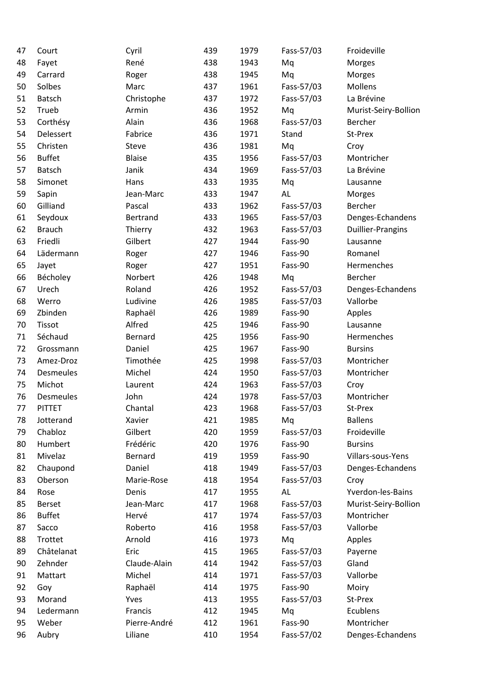| 47 | Court         | Cyril           | 439 | 1979 | Fass-57/03 | Froideville          |
|----|---------------|-----------------|-----|------|------------|----------------------|
| 48 | Fayet         | René            | 438 | 1943 | Mq         | Morges               |
| 49 | Carrard       | Roger           | 438 | 1945 | Mq         | Morges               |
| 50 | Solbes        | Marc            | 437 | 1961 | Fass-57/03 | Mollens              |
| 51 | Batsch        | Christophe      | 437 | 1972 | Fass-57/03 | La Brévine           |
| 52 | Trueb         | Armin           | 436 | 1952 | Mq         | Murist-Seiry-Bollion |
| 53 | Corthésy      | Alain           | 436 | 1968 | Fass-57/03 | Bercher              |
| 54 | Delessert     | Fabrice         | 436 | 1971 | Stand      | St-Prex              |
| 55 | Christen      | Steve           | 436 | 1981 | Mq         | Croy                 |
| 56 | <b>Buffet</b> | <b>Blaise</b>   | 435 | 1956 | Fass-57/03 | Montricher           |
| 57 | Batsch        | Janik           | 434 | 1969 | Fass-57/03 | La Brévine           |
| 58 | Simonet       | Hans            | 433 | 1935 | Mq         | Lausanne             |
| 59 | Sapin         | Jean-Marc       | 433 | 1947 | AL         | Morges               |
| 60 | Gilliand      | Pascal          | 433 | 1962 | Fass-57/03 | Bercher              |
| 61 | Seydoux       | <b>Bertrand</b> | 433 | 1965 | Fass-57/03 | Denges-Echandens     |
| 62 | <b>Brauch</b> | Thierry         | 432 | 1963 | Fass-57/03 | Duillier-Prangins    |
| 63 | Friedli       | Gilbert         | 427 | 1944 | Fass-90    | Lausanne             |
| 64 | Lädermann     | Roger           | 427 | 1946 | Fass-90    | Romanel              |
| 65 | Jayet         | Roger           | 427 | 1951 | Fass-90    | Hermenches           |
| 66 | Bécholey      | Norbert         | 426 | 1948 | Mq         | Bercher              |
| 67 | Urech         | Roland          | 426 | 1952 | Fass-57/03 | Denges-Echandens     |
| 68 | Werro         | Ludivine        | 426 | 1985 | Fass-57/03 | Vallorbe             |
| 69 | Zbinden       | Raphaël         | 426 | 1989 | Fass-90    | Apples               |
| 70 | Tissot        | Alfred          | 425 | 1946 | Fass-90    | Lausanne             |
| 71 | Séchaud       | Bernard         | 425 | 1956 | Fass-90    | Hermenches           |
| 72 |               | Daniel          |     |      | Fass-90    |                      |
|    | Grossmann     |                 | 425 | 1967 |            | <b>Bursins</b>       |
| 73 | Amez-Droz     | Timothée        | 425 | 1998 | Fass-57/03 | Montricher           |
| 74 | Desmeules     | Michel          | 424 | 1950 | Fass-57/03 | Montricher           |
| 75 | Michot        | Laurent         | 424 | 1963 | Fass-57/03 | Croy                 |
| 76 | Desmeules     | John            | 424 | 1978 | Fass-57/03 | Montricher           |
| 77 | <b>PITTET</b> | Chantal         | 423 | 1968 | Fass-57/03 | St-Prex              |
| 78 | Jotterand     | Xavier          | 421 | 1985 | Mq         | <b>Ballens</b>       |
| 79 | Chabloz       | Gilbert         | 420 | 1959 | Fass-57/03 | Froideville          |
| 80 | Humbert       | Frédéric        | 420 | 1976 | Fass-90    | <b>Bursins</b>       |
| 81 | Mivelaz       | Bernard         | 419 | 1959 | Fass-90    | Villars-sous-Yens    |
| 82 | Chaupond      | Daniel          | 418 | 1949 | Fass-57/03 | Denges-Echandens     |
| 83 | Oberson       | Marie-Rose      | 418 | 1954 | Fass-57/03 | Croy                 |
| 84 | Rose          | Denis           | 417 | 1955 | AL         | Yverdon-les-Bains    |
| 85 | Berset        | Jean-Marc       | 417 | 1968 | Fass-57/03 | Murist-Seiry-Bollion |
| 86 | <b>Buffet</b> | Hervé           | 417 | 1974 | Fass-57/03 | Montricher           |
| 87 | Sacco         | Roberto         | 416 | 1958 | Fass-57/03 | Vallorbe             |
| 88 | Trottet       | Arnold          | 416 | 1973 | Mq         | Apples               |
| 89 | Châtelanat    | Eric            | 415 | 1965 | Fass-57/03 | Payerne              |
| 90 | Zehnder       | Claude-Alain    | 414 | 1942 | Fass-57/03 | Gland                |
| 91 | Mattart       | Michel          | 414 | 1971 | Fass-57/03 | Vallorbe             |
| 92 | Goy           | Raphaël         | 414 | 1975 | Fass-90    | Moiry                |
| 93 | Morand        | Yves            | 413 | 1955 | Fass-57/03 | St-Prex              |
| 94 | Ledermann     | Francis         | 412 | 1945 | Mq         | Ecublens             |
| 95 | Weber         | Pierre-André    | 412 | 1961 | Fass-90    | Montricher           |
| 96 | Aubry         | Liliane         | 410 | 1954 | Fass-57/02 | Denges-Echandens     |